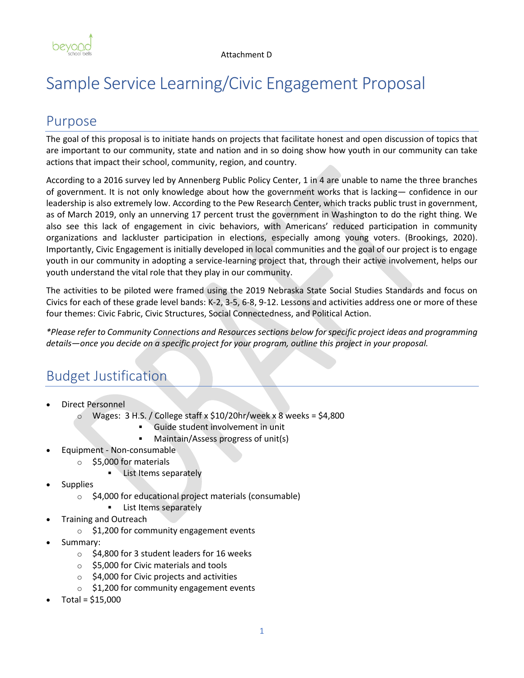

# Sample Service Learning/Civic Engagement Proposal

### Purpose

The goal of this proposal is to initiate hands on projects that facilitate honest and open discussion of topics that are important to our community, state and nation and in so doing show how youth in our community can take actions that impact their school, community, region, and country.

According to a 2016 survey led by Annenberg Public Policy Center, 1 in 4 are unable to name the three branches of government. It is not only knowledge about how the government works that is lacking— confidence in our leadership is also extremely low. According to the Pew Research Center, which tracks public trust in government, as of March 2019, only an unnerving 17 percent trust the government in Washington to do the right thing. We also see this lack of engagement in civic behaviors, with Americans' reduced participation in community organizations and lackluster participation in elections, especially among young voters. (Brookings, 2020). Importantly, Civic Engagement is initially developed in local communities and the goal of our project is to engage youth in our community in adopting a service-learning project that, through their active involvement, helps our youth understand the vital role that they play in our community.

The activities to be piloted were framed using the 2019 Nebraska State Social Studies Standards and focus on Civics for each of these grade level bands: K-2, 3-5, 6-8, 9-12. Lessons and activities address one or more of these four themes: Civic Fabric, Civic Structures, Social Connectedness, and Political Action.

*\*Please refer to Community Connections and Resources sections below for specific project ideas and programming details—once you decide on a specific project for your program, outline this project in your proposal.*

## Budget Justification

- Direct Personnel
	- o Wages: 3 H.S. / College staff x \$10/20hr/week x 8 weeks = \$4,800
		- Guide student involvement in unit
		- Maintain/Assess progress of unit(s)
	- Equipment Non-consumable
		- o \$5,000 for materials
			- **List Items separately**
- **Supplies** 
	- o \$4,000 for educational project materials (consumable)
		- List Items separately
- Training and Outreach
	- o \$1,200 for community engagement events
- Summary:
	- o \$4,800 for 3 student leaders for 16 weeks
	- o \$5,000 for Civic materials and tools
	- $\circ$  \$4,000 for Civic projects and activities
	- o \$1,200 for community engagement events
- $Total = $15,000$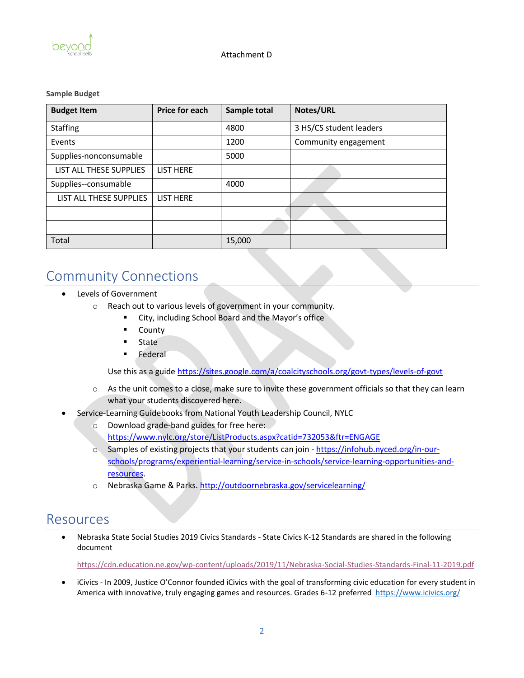

#### **Sample Budget**

| <b>Budget Item</b>      | <b>Price for each</b> | Sample total | <b>Notes/URL</b>        |
|-------------------------|-----------------------|--------------|-------------------------|
| <b>Staffing</b>         |                       | 4800         | 3 HS/CS student leaders |
| Events                  |                       | 1200         | Community engagement    |
| Supplies-nonconsumable  |                       | 5000         |                         |
| LIST ALL THESE SUPPLIES | <b>LIST HERE</b>      |              |                         |
| Supplies--consumable    |                       | 4000         |                         |
| LIST ALL THESE SUPPLIES | <b>LIST HERE</b>      |              |                         |
|                         |                       |              |                         |
|                         |                       |              |                         |
| Total                   |                       | 15,000       |                         |

### Community Connections

- Levels of Government
	- o Reach out to various levels of government in your community.
		- City, including School Board and the Mayor's office
		- County
		- State
		- **Federal**

Use this as a guide<https://sites.google.com/a/coalcityschools.org/govt-types/levels-of-govt>

- $\circ$  As the unit comes to a close, make sure to invite these government officials so that they can learn what your students discovered here.
- Service-Learning Guidebooks from National Youth Leadership Council, NYLC
	- o Download grade-band guides for free here:
		- <https://www.nylc.org/store/ListProducts.aspx?catid=732053&ftr=ENGAGE>
	- o Samples of existing projects that your students can join [https://infohub.nyced.org/in-our](https://infohub.nyced.org/in-our-schools/programs/experiential-learning/service-in-schools/service-learning-opportunities-and-resources)[schools/programs/experiential-learning/service-in-schools/service-learning-opportunities-and](https://infohub.nyced.org/in-our-schools/programs/experiential-learning/service-in-schools/service-learning-opportunities-and-resources)[resources.](https://infohub.nyced.org/in-our-schools/programs/experiential-learning/service-in-schools/service-learning-opportunities-and-resources)
	- o Nebraska Game & Parks[. http://outdoornebraska.gov/servicelearning/](http://outdoornebraska.gov/servicelearning/)

### Resources

• Nebraska State Social Studies 2019 Civics Standards - State Civics K-12 Standards are shared in the following document

<https://cdn.education.ne.gov/wp-content/uploads/2019/11/Nebraska-Social-Studies-Standards-Final-11-2019.pdf>

• iCivics - In 2009, Justice O'Connor founded iCivics with the goal of transforming civic education for every student in America with innovative, truly engaging games and resources. Grades 6-12 preferred <https://www.icivics.org/>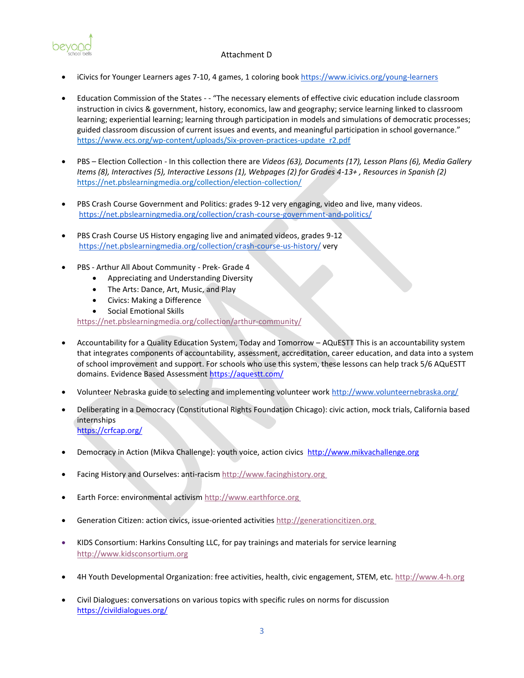Attachment D



- iCivics for Younger Learners ages 7-10, 4 games, 1 coloring book <https://www.icivics.org/young-learners>
- Education Commission of the States - "The necessary elements of effective civic education include classroom instruction in civics & government, history, economics, law and geography; service learning linked to classroom learning; experiential learning; learning through participation in models and simulations of democratic processes; guided classroom discussion of current issues and events, and meaningful participation in school governance." [https://www.ecs.org/wp-content/uploads/Six-proven-practices-update\\_r2.pdf](https://www.ecs.org/wp-content/uploads/Six-proven-practices-update_r2.pdf)
- PBS Election Collection In this collection there are *Videos (63), Documents (17), Lesson Plans (6), Media Gallery Items (8), Interactives (5), Interactive Lessons (1), Webpages (2) for Grades 4-13+ , Resources in Spanish (2)* <https://net.pbslearningmedia.org/collection/election-collection/>
- PBS Crash Course Government and Politics: grades 9-12 very engaging, video and live, many videos. <https://net.pbslearningmedia.org/collection/crash-course-government-and-politics/>
- PBS Crash Course US History engaging live and animated videos, grades 9-12 <https://net.pbslearningmedia.org/collection/crash-course-us-history/> very
- PBS Arthur All About Community Prek- Grade 4
	- Appreciating and Understanding Diversity
	- The Arts: Dance, Art, Music, and Play
	- Civics: Making a Difference
	- Social Emotional Skills

<https://net.pbslearningmedia.org/collection/arthur-community/>

- Accountability for a Quality Education System, Today and Tomorrow AQuESTT This is an accountability system that integrates components of accountability, assessment, accreditation, career education, and data into a system of school improvement and support. For schools who use this system, these lessons can help track 5/6 AQuESTT domains. Evidence Based Assessment<https://aquestt.com/>
- Volunteer Nebraska guide to selecting and implementing volunteer work <http://www.volunteernebraska.org/>
- Deliberating in a Democracy (Constitutional Rights Foundation Chicago): civic action, mock trials, California based internships <https://crfcap.org/>
- Democracy in Action (Mikva Challenge): youth voice, action civics [http://www.mikvachallenge.org](http://www.mikvachallenge.org/)
- Facing History and Ourselves: anti-racism [http://www.facinghistory.org](http://www.facinghistory.org/)
- Earth Force: environmental activism [http://www.earthforce.org](http://www.earthforce.org/)
- Generation Citizen: action civics, issue-oriented activities [http://generationcitizen.org](http://generationcitizen.org/)
- KIDS Consortium: Harkins Consulting LLC, for pay trainings and materials for service learning [http://www.kidsconsortium.org](http://www.kidsconsortium.org/)
- 4H Youth Developmental Organization: free activities, health, civic engagement, STEM, etc. [http://www.4-h.org](http://www.4-h.org/)
- Civil Dialogues: conversations on various topics with specific rules on norms for discussion <https://civildialogues.org/>